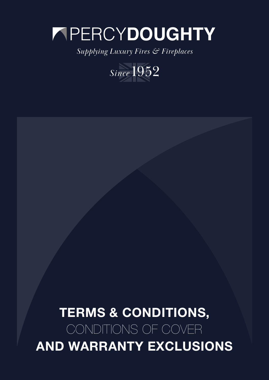# PERCY**DOUGHTY**

*Supplying Luxury Fires & Fireplaces*



# TERMS & CONDITIONS, CONDITIONS OF COVER AND WARRANTY EXCLUSIONS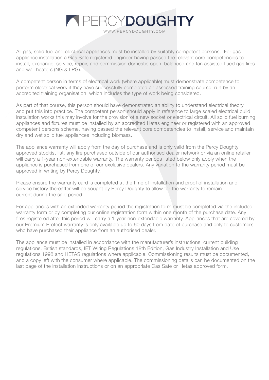All gas, solid fuel and electrical appliances must be installed by suitably competent persons. For gas appliance installation a Gas Safe registered engineer having passed the relevant core competencies to install, exchange, service, repair, and commission domestic open, balanced and fan assisted flued gas fires and wall heaters (NG & LPG).

A competent person in terms of electrical work (where applicable) must demonstrate competence to perform electrical work if they have successfully completed an assessed training course, run by an accredited training organisation, which includes the type of work being considered.

As part of that course, this person should have demonstrated an ability to understand electrical theory and put this into practice. The competent person should apply in reference to large scaled electrical build installation works this may involve for the provision of a new socket or electrical circuit. All solid fuel burning appliances and fixtures must be installed by an accredited Hetas engineer or registered with an approved competent persons scheme, having passed the relevant core competencies to install, service and maintain dry and wet solid fuel appliances including biomass.

The appliance warranty will apply from the day of purchase and is only valid from the Percy Doughty approved stockist list, any fire purchased outside of our authorised dealer network or via an online retailer will carry a 1-year non-extendable warranty. The warranty periods listed below only apply when the appliance is purchased from one of our exclusive dealers. Any variation to the warranty period must be approved in writing by Percy Doughty.

Please ensure the warranty card is completed at the time of installation and proof of installation and service history thereafter will be sought by Percy Doughty to allow for the warranty to remain current during the said period.

For appliances with an extended warranty period the registration form must be completed via the included warranty form or by completing our online registration form within one month of the purchase date. Any fires registered after this period will carry a 1-year non-extendable warranty. Appliances that are covered by our Premium Protect warranty is only available up to 60 days from date of purchase and only to customers who have purchased their appliance from an authorised dealer.

The appliance must be installed in accordance with the manufacturer's instructions, current building regulations, British standards, IET Wiring Regulations 18th Edition, Gas Industry Installation and Use regulations 1998 and HETAS regulations where applicable. Commissioning results must be documented, and a copy left with the consumer where applicable. The commissioning details can be documented on the last page of the installation instructions or on an appropriate Gas Safe or Hetas approved form.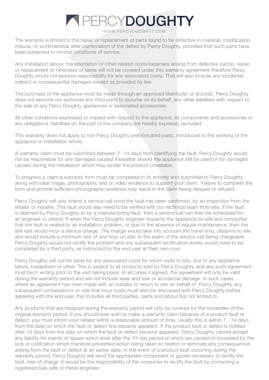# **A PERCYDOUGHTY**

WWW.PERCYDOUGHTY.COM

The warranty is limited to the repair or replacement of parts found to be defective in material, modification, misuse, or workmanship after confirmation of the defect by Percy Doughty, provided that such parts have been subjected to normal conditions of service.

Any installation labour, transportation or other related costs/expenses arising from defective part(s), repair, or replacement or otherwise of same will not be covered under this warranty agreement therefore Percy Doughty would not assume responsibility for any associated costs. That will also include any incidental indirect or consequential damages except as provided by law.

The purchase of the appliance must be made through an approved distributer or stockist. Percy Doughty does not assume nor authorise any third party to assume on its behalf, any other liabilities with respect to the sale of any Percy Doughty appliances or associated accessories.

All other conditions expressed or implied with respect to the appliance, its components and accessories or any obligations /liabilities on the part of the company are hereby expressly excluded.

This warranty does not apply to non Percy Doughty prefabricated parts, introduced to the working of the appliance or installation whole.

A warranty claim must be submitted between 7- 14 days from identifying the fault, Percy Doughty would not be responsible for any damaged caused thereafter should the appliance still be used or for damaged caused during the installation which may render the product unsellable.

To progress a claim a warranty form must be completed in its entirety and submitted to Percy Doughty along with clear image, photographic and or video evidence to support your claim. Failure to complete the form and provide sufficient photographic evidence may result in the claim being delayed or refused.

Percy Doughty will only attend a service call once the fault has been confirmed, by an inspection from the retailer or installer. This fault would also need to be verified with our technical team from site. If the fault is deemed by Percy Doughty to be a manufacturing fault, then a service call can then be scheduled for an engineer to attend. If when the Percy Doughty engineer inspects the appliance on site and concludes that the fault is related to an installation problem, or due to the absence of regular maintenance, then the site visit would incur a service charge. The charge would take into account the travel time, distance to site and would include a minimum rate of one hour on site. In the event of the service call being chargeable, Percy Doughty would not rectify the problem and any subsequent rectification works would need to be completed by a third party, as instructed by the end user at their own cost.

Percy Doughty will not be liable for any associated costs for return visits to site, due to any appliance failure, breakdown or other. This is explicit to all products sold by Percy Doughty, and any such agreement must be in writing prior to the visit taking place. In all cases if agreed, the agreement will only be valid during the warranty period and will not include wear and tear or accidental damage. In such cases where an agreement has been made with an installer to return to site on behalf of Percy Doughty, any subsequent conversations on site that incur costs must also be discussed with Percy Doughty before agreeing with the end user, this includes all third parties, parts and labour but not limited to.

Any products that are replaced during the warranty period will only be covered for the remainder of the original warranty period. If you should ever wish to make a warranty claim because of a product fault or defect, you must inform your retailer within a reasonable amount of time, usually this is within 7 - 14 days from the date on which the fault or defect first became apparent. If the product fault or defect is notified after 14 days from the date on which the fault or defect became apparent, Percy Doughty cannot accept any liability for events or issues which arise after the 14-day period or which are caused or increased by the lack of notification which therefore prevented action being taken to restrict or eliminate any consequences arising from the fault or defect at an earlier date. In the event of a product fault occurring during the warranty period, Percy Doughty will send the appropriate component or goods necessary to rectify the fault, free of charge. It would be the responsibility of the consumer to rectify the fault by contacting a registered Gas safe or Hetas engineer.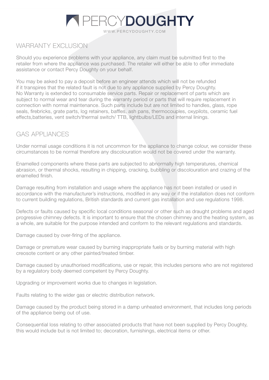# **PERCYDOUGHTY**

#### WWW.PERCYDOUGHTY.COM

## WARRANTY FXCLUSION

Should you experience problems with your appliance, any claim must be submitted first to the retailer from where the appliance was purchased. The retailer will either be able to offer immediate assistance or contact Percy Doughty on your behalf.

You may be asked to pay a deposit before an engineer attends which will not be refunded if it transpires that the related fault is not due to any appliance supplied by Percy Doughty. No Warranty is extended to consumable service parts. Repair or replacement of parts which are subject to normal wear and tear during the warranty period or parts that will require replacement in connection with normal maintenance. Such parts include but are not limited to handles, glass, rope seals, firebricks, grate parts, log retainers, baffles, ash pans, thermocouples, oxypilots, ceramic fuel effects,batteries, vent switch/thermal switch/ TTB, lightbulbs/LEDs and internal linings.

### GAS APPLIANCES

Under normal usage conditions it is not uncommon for the appliance to change colour, we consider these circumstances to be normal therefore any discolouration would not be covered under the warranty.

Enamelled components where these parts are subjected to abnormally high temperatures, chemical abrasion, or thermal shocks, resulting in chipping, cracking, bubbling or discolouration and crazing of the enamelled finish.

Damage resulting from installation and usage where the appliance has not been installed or used in accordance with the manufacturer's instructions, modified in any way or if the installation does not conform to current building regulations, British standards and current gas installation and use regulations 1998.

Defects or faults caused by specific local conditions seasonal or other such as draught problems and aged progressive chimney defects. It is important to ensure that the chosen chimney and the heating system, as a whole, are suitable for the purpose intended and conform to the relevant regulations and standards.

Damage caused by over-firing of the appliance.

Damage or premature wear caused by burning inappropriate fuels or by burning material with high creosote content or any other painted/treated timber.

Damage caused by unauthorised modifications, use or repair, this includes persons who are not registered by a regulatory body deemed competent by Percy Doughty.

Upgrading or improvement works due to changes in legislation.

Faults relating to the wider gas or electric distribution network.

Damage caused by the product being stored in a damp unheated environment, that includes long periods of the appliance being out of use.

Consequential loss relating to other associated products that have not been supplied by Percy Doughty, this would include but is not limited to; decoration, furnishings, electrical items or other.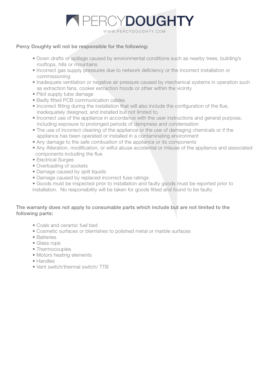

#### Percy Doughty will not be responsible for the following:

- Down drafts or spillage caused by environmental conditions such as nearby trees, building's rooftops, hills or mountains
- Incorrect gas supply pressures due to network deficiency or the incorrect installation or commissioning
- Inadequate ventilation or negative air pressure caused by mechanical systems in operation such as extraction fans, cooker extraction hoods or other within the vicinity
- Pilot supply tube damage
- Badly fitted PCB communication cables
- Incorrect fitting during the installation that will also include the configuration of the flue, inadequately designed, and installed but not limited to.
- Incorrect use of the appliance in accordance with the user instructions and general purpose, including exposure to prolonged periods of dampness and condensation
- The use of incorrect cleaning of the appliance or the use of damaging chemicals or if the appliance has been operated or installed in a contaminating environment
- Any damage to the safe combustion of the appliance or its components
- Any Alteration, modification, or wilful abuse accidental or misuse of the appliance and associated components including the flue
- Electrical Surges
- Overloading of sockets
- Damage caused by spilt liquids
- Damage caused by replaced incorrect fuse ratings
- Goods must be inspected prior to installation and faulty goods must be reported prior to installation. No responsibility will be taken for goods fitted and found to be faulty

#### The warranty does not apply to consumable parts which include but are not limited to the following parts:

- Coals and ceramic fuel bed
- Cosmetic surfaces or blemishes to polished metal or marble surfaces
- Batteries
- Glass rope
- Thermocouples
- Motors heating elements
- Handles
- Vent switch/thermal switch/ TTB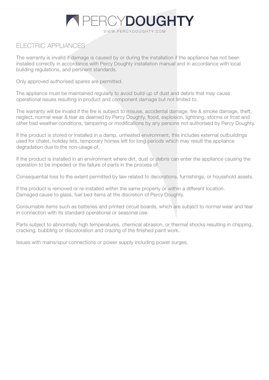### ELECTRIC APPLIANCES

The warranty is invalid if damage is caused by or during the installation if the appliance has not been installed correctly in accordance with Percy Doughty installation manual and in accordance with local building regulations, and pertinent standards.

Only approved authorised spares are permitted.

The appliance must be maintained regularly to avoid build-up of dust and debris that may cause operational issues resulting in product and component damage but not limited to.

The warranty will be invalid if the fire is subject to misuse, accidental damage, fire & smoke damage, theft, neglect, normal wear & tear as deemed by Percy Doughty, flood, explosion, lightning, storms or frost and other bad weather conditions, tampering or modifications by any persons not authorised by Percy Doughty.

If the product is stored or installed in a damp, unheated environment, this includes external outbuildings used for chalet, holiday lets, temporary homes left for long periods which may result the appliance degradation due to the non-usage of.

If the product is installed in an environment where dirt, dust or debris can enter the appliance causing the operation to be impeded or the failure of parts in the process of.

Consequential loss to the extent permitted by law related to decorations, furnishings, or household assets.

If the product is removed or re-installed within the same property or within a different location. Damaged cause to glass, fuel bed items at the discretion of Percy Doughty.

Consumable items such as batteries and printed circuit boards, which are subject to normal wear and tear in connection with its standard operational or seasonal use.

Parts subject to abnormally high temperatures, chemical abrasion, or thermal shocks resulting in chipping, cracking, bubbling or discoloration and crazing of the finished paint work.

Issues with mains/spur connections or power supply including power surges.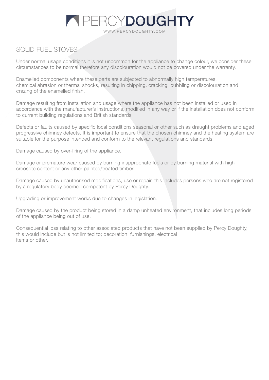## SOLID FUEL STOVES

Under normal usage conditions it is not uncommon for the appliance to change colour, we consider these circumstances to be normal therefore any discolouration would not be covered under the warranty.

Enamelled components where these parts are subjected to abnormally high temperatures, chemical abrasion or thermal shocks, resulting in chipping, cracking, bubbling or discolouration and crazing of the enamelled finish.

Damage resulting from installation and usage where the appliance has not been installed or used in accordance with the manufacturer's instructions, modified in any way or if the installation does not conform to current building regulations and British standards.

Defects or faults caused by specific local conditions seasonal or other such as draught problems and aged progressive chimney defects. It is important to ensure that the chosen chimney and the heating system are suitable for the purpose intended and conform to the relevant regulations and standards.

Damage caused by over-firing of the appliance.

Damage or premature wear caused by burning inappropriate fuels or by burning material with high creosote content or any other painted/treated timber.

Damage caused by unauthorised modifications, use or repair, this includes persons who are not registered by a regulatory body deemed competent by Percy Doughty.

Upgrading or improvement works due to changes in legislation.

Damage caused by the product being stored in a damp unheated environment, that includes long periods of the appliance being out of use.

Consequential loss relating to other associated products that have not been supplied by Percy Doughty, this would include but is not limited to; decoration, furnishings, electrical items or other.